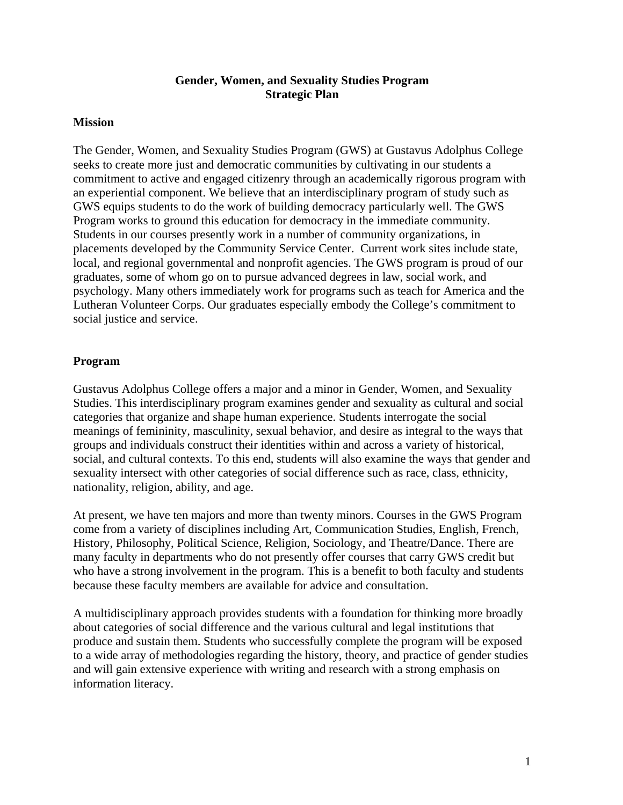# **Gender, Women, and Sexuality Studies Program Strategic Plan**

### **Mission**

The Gender, Women, and Sexuality Studies Program (GWS) at Gustavus Adolphus College seeks to create more just and democratic communities by cultivating in our students a commitment to active and engaged citizenry through an academically rigorous program with an experiential component. We believe that an interdisciplinary program of study such as GWS equips students to do the work of building democracy particularly well. The GWS Program works to ground this education for democracy in the immediate community. Students in our courses presently work in a number of community organizations, in placements developed by the Community Service Center. Current work sites include state, local, and regional governmental and nonprofit agencies. The GWS program is proud of our graduates, some of whom go on to pursue advanced degrees in law, social work, and psychology. Many others immediately work for programs such as teach for America and the Lutheran Volunteer Corps. Our graduates especially embody the College's commitment to social justice and service.

### **Program**

Gustavus Adolphus College offers a major and a minor in Gender, Women, and Sexuality Studies. This interdisciplinary program examines gender and sexuality as cultural and social categories that organize and shape human experience. Students interrogate the social meanings of femininity, masculinity, sexual behavior, and desire as integral to the ways that groups and individuals construct their identities within and across a variety of historical, social, and cultural contexts. To this end, students will also examine the ways that gender and sexuality intersect with other categories of social difference such as race, class, ethnicity, nationality, religion, ability, and age.

At present, we have ten majors and more than twenty minors. Courses in the GWS Program come from a variety of disciplines including Art, Communication Studies, English, French, History, Philosophy, Political Science, Religion, Sociology, and Theatre/Dance. There are many faculty in departments who do not presently offer courses that carry GWS credit but who have a strong involvement in the program. This is a benefit to both faculty and students because these faculty members are available for advice and consultation.

A multidisciplinary approach provides students with a foundation for thinking more broadly about categories of social difference and the various cultural and legal institutions that produce and sustain them. Students who successfully complete the program will be exposed to a wide array of methodologies regarding the history, theory, and practice of gender studies and will gain extensive experience with writing and research with a strong emphasis on information literacy.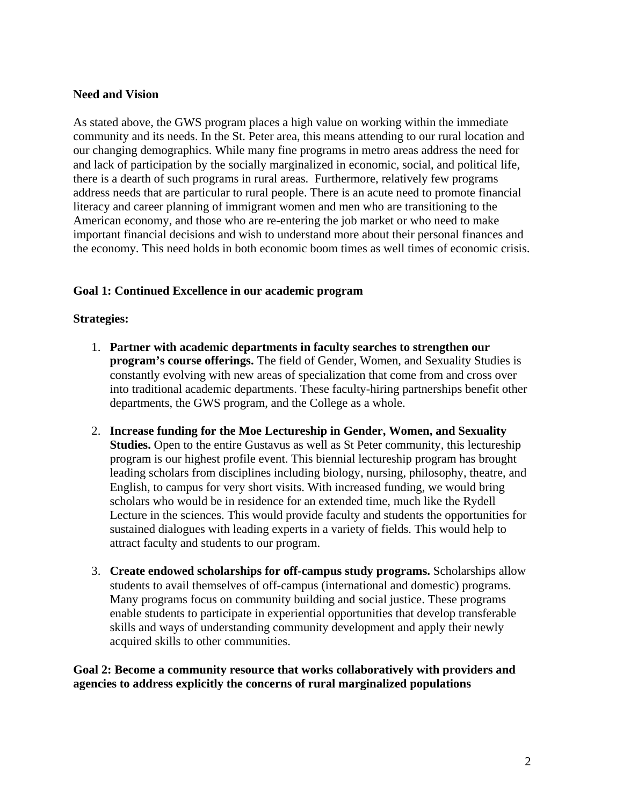# **Need and Vision**

As stated above, the GWS program places a high value on working within the immediate community and its needs. In the St. Peter area, this means attending to our rural location and our changing demographics. While many fine programs in metro areas address the need for and lack of participation by the socially marginalized in economic, social, and political life, there is a dearth of such programs in rural areas. Furthermore, relatively few programs address needs that are particular to rural people. There is an acute need to promote financial literacy and career planning of immigrant women and men who are transitioning to the American economy, and those who are re-entering the job market or who need to make important financial decisions and wish to understand more about their personal finances and the economy. This need holds in both economic boom times as well times of economic crisis.

# **Goal 1: Continued Excellence in our academic program**

# **Strategies:**

- 1. **Partner with academic departments in faculty searches to strengthen our program's course offerings.** The field of Gender, Women, and Sexuality Studies is constantly evolving with new areas of specialization that come from and cross over into traditional academic departments. These faculty-hiring partnerships benefit other departments, the GWS program, and the College as a whole.
- 2. **Increase funding for the Moe Lectureship in Gender, Women, and Sexuality Studies.** Open to the entire Gustavus as well as St Peter community, this lectureship program is our highest profile event. This biennial lectureship program has brought leading scholars from disciplines including biology, nursing, philosophy, theatre, and English, to campus for very short visits. With increased funding, we would bring scholars who would be in residence for an extended time, much like the Rydell Lecture in the sciences. This would provide faculty and students the opportunities for sustained dialogues with leading experts in a variety of fields. This would help to attract faculty and students to our program.
- 3. **Create endowed scholarships for off-campus study programs.** Scholarships allow students to avail themselves of off-campus (international and domestic) programs. Many programs focus on community building and social justice. These programs enable students to participate in experiential opportunities that develop transferable skills and ways of understanding community development and apply their newly acquired skills to other communities.

**Goal 2: Become a community resource that works collaboratively with providers and agencies to address explicitly the concerns of rural marginalized populations**